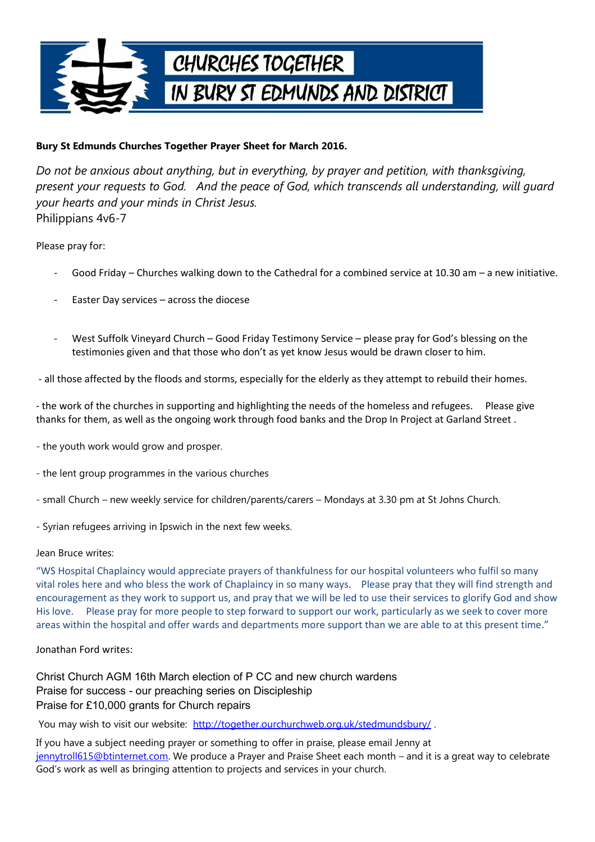

## **Bury St Edmunds Churches Together Prayer Sheet for March 2016.**

*Do not be anxious about anything, but in everything, by prayer and petition, with thanksgiving, present your requests to God. And the peace of God, which transcends all understanding, will guard your hearts and your minds in Christ Jesus.* Philippians 4v6-7

Please pray for:

- Good Friday Churches walking down to the Cathedral for a combined service at 10.30 am a new initiative.
- Easter Day services across the diocese
- West Suffolk Vineyard Church Good Friday Testimony Service please pray for God's blessing on the testimonies given and that those who don't as yet know Jesus would be drawn closer to him.

- all those affected by the floods and storms, especially for the elderly as they attempt to rebuild their homes.

- the work of the churches in supporting and highlighting the needs of the homeless and refugees. Please give thanks for them, as well as the ongoing work through food banks and the Drop In Project at Garland Street .

- the youth work would grow and prosper.
- the lent group programmes in the various churches
- small Church new weekly service for children/parents/carers Mondays at 3.30 pm at St Johns Church.
- Syrian refugees arriving in Ipswich in the next few weeks.

Jean Bruce writes:

"WS Hospital Chaplaincy would appreciate prayers of thankfulness for our hospital volunteers who fulfil so many vital roles here and who bless the work of Chaplaincy in so many ways. Please pray that they will find strength and encouragement as they work to support us, and pray that we will be led to use their services to glorify God and show His love. Please pray for more people to step forward to support our work, particularly as we seek to cover more areas within the hospital and offer wards and departments more support than we are able to at this present time."

Jonathan Ford writes:

Christ Church AGM 16th March election of P CC and new church wardens Praise for success - our preaching series on Discipleship Praise for £10,000 grants for Church repairs

You may wish to visit our website: http://together.ourchurchweb.org.uk/stedmundsbury/.

If you have a subject needing prayer or something to offer in praise, please email Jenny at [jennytroll615@btinternet.com.](mailto:jennytroll615@btinternet.com) We produce a Prayer and Praise Sheet each month – and it is a great way to celebrate God's work as well as bringing attention to projects and services in your church.